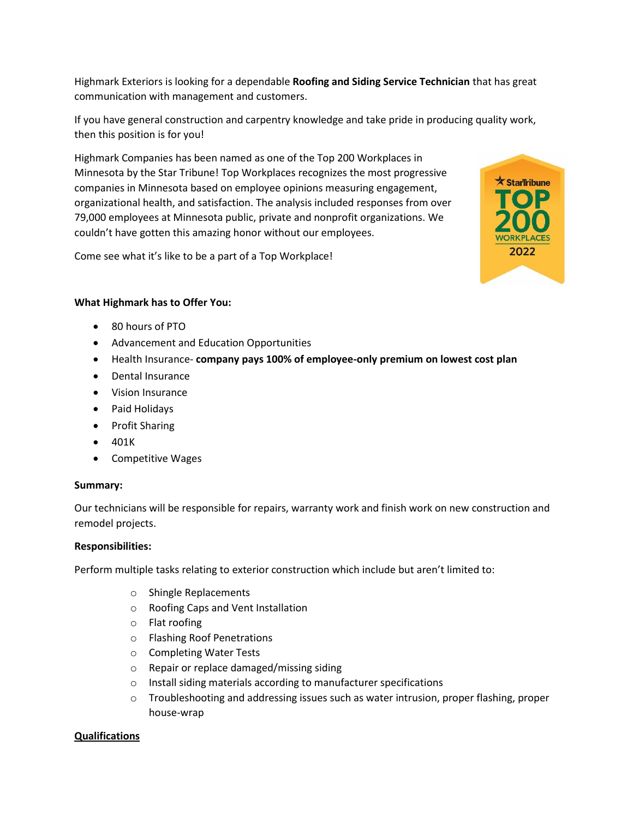Highmark Exteriors is looking for a dependable **Roofing and Siding Service Technician** that has great communication with management and customers.

If you have general construction and carpentry knowledge and take pride in producing quality work, then this position is for you!

Highmark Companies has been named as one of the Top 200 Workplaces in Minnesota by the Star Tribune! Top Workplaces recognizes the most progressive companies in Minnesota based on employee opinions measuring engagement, organizational health, and satisfaction. The analysis included responses from over 79,000 employees at Minnesota public, private and nonprofit organizations. We couldn't have gotten this amazing honor without our employees.

Come see what it's like to be a part of a Top Workplace!



## **What Highmark has to Offer You:**

- 80 hours of PTO
- Advancement and Education Opportunities
- Health Insurance- **company pays 100% of employee-only premium on lowest cost plan**
- Dental Insurance
- Vision Insurance
- Paid Holidays
- Profit Sharing
- 401K
- Competitive Wages

## **Summary:**

Our technicians will be responsible for repairs, warranty work and finish work on new construction and remodel projects.

## **Responsibilities:**

Perform multiple tasks relating to exterior construction which include but aren't limited to:

- o Shingle Replacements
- o Roofing Caps and Vent Installation
- o Flat roofing
- o Flashing Roof Penetrations
- o Completing Water Tests
- o Repair or replace damaged/missing siding
- o Install siding materials according to manufacturer specifications
- $\circ$  Troubleshooting and addressing issues such as water intrusion, proper flashing, proper house-wrap

## **Qualifications**